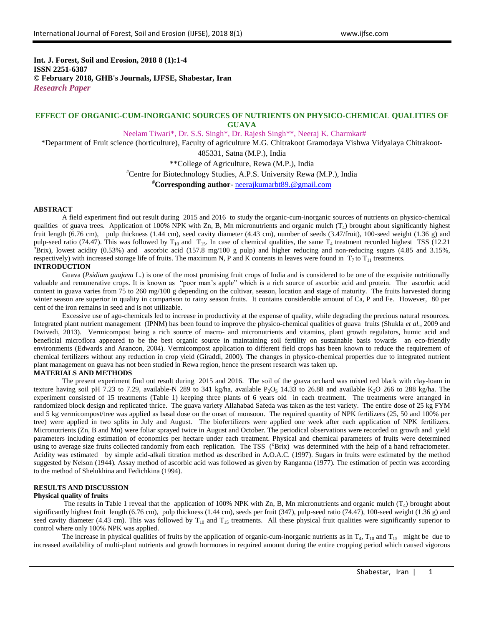**Int. J. Forest, Soil and Erosion, 2018 8 (1):1-4 ISSN 2251-6387 © February 2018, GHB's Journals, IJFSE, Shabestar, Iran** *Research Paper*

# **EFFECT OF ORGANIC-CUM-INORGANIC SOURCES OF NUTRIENTS ON PHYSICO-CHEMICAL QUALITIES OF GUAVA**

Neelam Tiwari\*, Dr. S.S. Singh\*, Dr. Rajesh Singh\*\*, Neeraj K. Charmkar#

\*Department of Fruit science (horticulture), Faculty of agriculture M.G. Chitrakoot Gramodaya Vishwa Vidyalaya Chitrakoot-

485331, Satna (M.P.), India

\*\*College of Agriculture, Rewa (M.P.), India

#Centre for Biotechnology Studies, A.P.S. University Rewa (M.P.), India

**#Corresponding author**- [neerajkumarbt89.@gmail.com](mailto:neerajkumarbt89.@gmail.com)

#### **ABSTRACT**

A field experiment find out result during 2015 and 2016 to study the organic-cum-inorganic sources of nutrients on physico-chemical qualities of guava trees. Application of 100% NPK with Zn, B, Mn micronutrients and organic mulch  $(T_4)$  brought about significantly highest fruit length (6.76 cm), pulp thickness (1.44 cm), seed cavity diameter (4.43 cm), number of seeds (3.47/fruit), 100-seed weight (1.36 g) and pulp-seed ratio (74.47). This was followed by  $T_{10}$  and  $T_{15}$ . In case of chemical qualities, the same  $T_4$  treatment recorded highest TSS (12.21)  $\sigma$ Brix), lowest acidity (0.53%) and ascorbic acid (157.8 mg/100 g pulp) and higher reducing and non-reducing sugars (4.85 and 3.15%, respectively) with increased storage life of fruits. The maximum N, P and K contents in leaves were found in  $T_7$  to  $T_{11}$  treatments. **INTRODUCTION**

Guava (*Psidium guajava* L.) is one of the most promising fruit crops of India and is considered to be one of the exquisite nutritionally valuable and remunerative crops. It is known as "poor man's apple" which is a rich source of ascorbic acid and protein. The ascorbic acid content in guava varies from 75 to 260 mg/100 g depending on the cultivar, season, location and stage of maturity. The fruits harvested during winter season are superior in quality in comparison to rainy season fruits. It contains considerable amount of Ca, P and Fe. However, 80 per cent of the iron remains in seed and is not utilizable.

Excessive use of ago-chemicals led to increase in productivity at the expense of quality, while degrading the precious natural resources. Integrated plant nutrient management (IPNM) has been found to improve the physico-chemical qualities of guava fruits (Shukla *et al.*, 2009 and Dwivedi, 2013). Vermicompost being a rich source of macro- and micronutrients and vitamins, plant growth regulators, humic acid and beneficial microflora appeared to be the best organic source in maintaining soil fertility on sustainable basis towards an eco-friendly environments (Edwards and Arancon, 2004). Vermicompost application to different field crops has been known to reduce the requirement of chemical fertilizers without any reduction in crop yield (Giraddi, 2000). The changes in physico-chemical properties due to integrated nutrient plant management on guava has not been studied in Rewa region, hence the present research was taken up.

#### **MATERIALS AND METHODS**

The present experiment find out result during 2015 and 2016. The soil of the guava orchard was mixed red black with clay-loam in texture having soil pH 7.23 to 7.29, available-N 289 to 341 kg/ha, available  $P_2O_5$  14.33 to 26.88 and available K<sub>2</sub>O 266 to 288 kg/ha. The experiment consisted of 15 treatments (Table 1) keeping three plants of 6 years old in each treatment. The treatments were arranged in randomized block design and replicated thrice. The guava variety Allahabad Safeda was taken as the test variety. The entire dose of 25 kg FYM and 5 kg vermicompost/tree was applied as basal dose on the onset of monsoon. The required quantity of NPK fertilizers (25, 50 and 100% per tree) were applied in two splits in July and August. The biofertilizers were applied one week after each application of NPK fertilizers. Micronutrients (Zn, B and Mn) were foliar sprayed twice in August and October. The periodical observations were recorded on growth and yield parameters including estimation of economics per hectare under each treatment. Physical and chemical parameters of fruits were determined using to average size fruits collected randomly from each replication. The TSS ( $\text{Brix}$ ) was determined with the help of a hand refractometer. Acidity was estimated by simple acid-alkali titration method as described in A.O.A.C. (1997). Sugars in fruits were estimated by the method suggested by Nelson (1944). Assay method of ascorbic acid was followed as given by Ranganna (1977). The estimation of pectin was according to the method of Shelukhina and Fedichkina (1994).

## **RESULTS AND DISCUSSION**

### **Physical quality of fruits**

The results in Table 1 reveal that the application of 100% NPK with Zn, B, Mn micronutrients and organic mulch  $(T_4)$  brought about significantly highest fruit length (6.76 cm), pulp thickness (1.44 cm), seeds per fruit (347), pulp-seed ratio (74.47), 100-seed weight (1.36 g) and seed cavity diameter (4.43 cm). This was followed by  $T_{10}$  and  $T_{15}$  treatments. All these physical fruit qualities were significantly superior to control where only 100% NPK was applied.

The increase in physical qualities of fruits by the application of organic-cum-inorganic nutrients as in  $T_4$ ,  $T_{10}$  and  $T_{15}$  might be due to increased availability of multi-plant nutrients and growth hormones in required amount during the entire cropping period which caused vigorous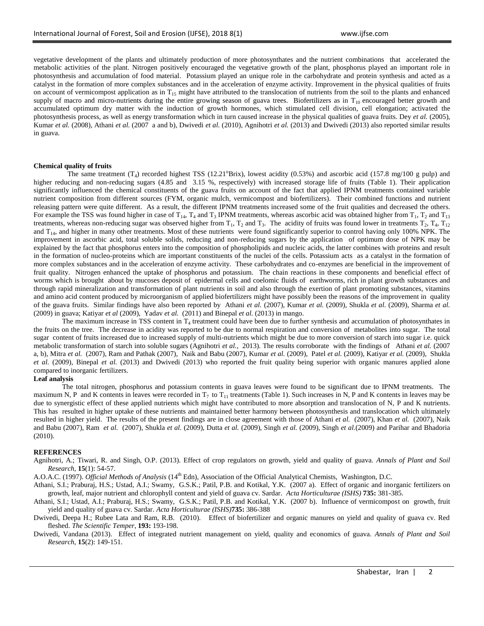vegetative development of the plants and ultimately production of more photosynthates and the nutrient combinations that accelerated the metabolic activities of the plant. Nitrogen positively encouraged the vegetative growth of the plant, phosphorus played an important role in photosynthesis and accumulation of food material. Potassium played an unique role in the carbohydrate and protein synthesis and acted as a catalyst in the formation of more complex substances and in the acceleration of enzyme activity. Improvement in the physical qualities of fruits on account of vermicompost application as in  $T_{15}$  might have attributed to the translocation of nutrients from the soil to the plants and enhanced supply of macro and micro-nutrients during the entire growing season of guava trees. Biofertilizers as in  $T_{10}$  encouraged better growth and accumulated optimum dry matter with the induction of growth hormones, which stimulated cell division, cell elongation; activated the photosynthesis process, as well as energy transformation which in turn caused increase in the physical qualities of guava fruits. Dey *et al.* (2005), Kumar *et al.* (2008), Athani *et al.* (2007 a and b), Dwivedi *et al.* (2010), Agnihotri *et al.* (2013) and Dwivedi (2013) also reported similar results in guava.

#### **Chemical quality of fruits**

The same treatment  $(T_4)$  recorded highest TSS (12.21°Brix), lowest acidity (0.53%) and ascorbic acid (157.8 mg/100 g pulp) and higher reducing and non-reducing sugars (4.85 and 3.15 %, respectively) with increased storage life of fruits (Table 1). Their application significantly influenced the chemical constituents of the guava fruits on account of the fact that applied IPNM treatments contained variable nutrient composition from different sources (FYM, organic mulch, vermicompost and biofertilizers). Their combined functions and nutrient releasing pattern were quite different. As a result, the different IPNM treatments increased some of the fruit qualities and decreased the others. For example the TSS was found higher in case of  $T_{14}$ ,  $T_4$  and  $T_3$  IPNM treatments, whereas ascorbic acid was obtained higher from  $T_1$ ,  $T_2$  and  $T_{13}$ treatments, whereas non-reducing sugar was observed higher from  $T_1$ ,  $T_2$  and  $T_3$ . The acidity of fruits was found lower in treatments  $T_2$ ,  $T_4$ ,  $T_{12}$ and  $T_{14}$ , and higher in many other treatments. Most of these nutrients were found significantly superior to control having only 100% NPK. The improvement in ascorbic acid, total soluble solids, reducing and non-reducing sugars by the application of optimum dose of NPK may be explained by the fact that phosphorus enters into the composition of phospholipids and nucleic acids, the latter combines with proteins and result in the formation of nucleo-proteins which are important constituents of the nuclei of the cells. Potassium acts as a catalyst in the formation of more complex substances and in the acceleration of enzyme activity. These carbohydrates and co-enzymes are beneficial in the improvement of fruit quality. Nitrogen enhanced the uptake of phosphorus and potassium. The chain reactions in these components and beneficial effect of worms which is brought about by mucoses deposit of epidermal cells and coelomic fluids of earthworms, rich in plant growth substances and through rapid mineralization and transformation of plant nutrients in soil and also through the exertion of plant promoting substances, vitamins and amino acid content produced by microorganism of applied biofertilizers might have possibly been the reasons of the improvement in quality of the guava fruits. Similar findings have also been reported by Athani *et al.* (2007), Kumar *et al.* (2009), Shukla *et al.* (2009), Sharma *et al.* (2009) in guava; Katiyar *et al* (2009), Yadav *et al.* (2011) and Binepal *et al.* (2013) in mango.

The maximum increase in TSS content in  $T_4$  treatment could have been due to further synthesis and accumulation of photosynthates in the fruits on the tree. The decrease in acidity was reported to be due to normal respiration and conversion of metabolites into sugar. The total sugar content of fruits increased due to increased supply of multi-nutrients which might be due to more conversion of starch into sugar i.e. quick metabolic transformation of starch into soluble sugars (Agnihotri *et al.*, 2013). The results corroborate with the findings of Athani *et al.* (2007 a, b), Mitra *et al.* (2007), Ram and Pathak (2007), Naik and Babu (2007), Kumar *et al.* (2009), Patel *et al.* (2009), Katiyar *et al.* (2009), Shukla *et al.* (2009), Binepal *et al.* (2013) and Dwivedi (2013) who reported the fruit quality being superior with organic manures applied alone compared to inorganic fertilizers.

### **Leaf analysis**

The total nitrogen, phosphorus and potassium contents in guava leaves were found to be significant due to IPNM treatments. The maximum N, P and K contents in leaves were recorded in  $T_7$  to  $T_{11}$  treatments (Table 1). Such increases in N, P and K contents in leaves may be due to synergistic effect of these applied nutrients which might have contributed to more absorption and translocation of N, P and K nutrients. This has resulted in higher uptake of these nutrients and maintained better harmony between photosynthesis and translocation which ultimately resulted in higher yield. The results of the present findings are in close agreement with those of Athani *et al.* (2007), Khan *et al.* (2007), Naik and Babu (2007), Ram *et al.* (2007), Shukla *et al.* (2009), Dutta *et al.* (2009), Singh *et al.* (2009), Singh *et al.*(2009) and Parihar and Bhadoria (2010).

#### **REFERENCES**

Agnihotri, A.; Tiwari, R. and Singh, O.P. (2013). Effect of crop regulators on growth, yield and quality of guava. *Annals of Plant and Soil Research*, **15**(1): 54-57.

A.O.A.C. (1997). *Official Methods of Analysis* (14th Edn), Association of the Official Analytical Chemists, Washington, D.C.

Athani, S.I.; Praburaj, H.S.; Ustad, A.I.; Swamy, G.S.K.; Patil, P.B. and Kotikal, Y.K. (2007 a). Effect of organic and inorganic fertilizers on growth, leaf, major nutrient and chlorophyll content and yield of guava cv. Sardar. *Acta Horticulturae (ISHS)* **735:** 381-385.

Athani, S.I.; Ustad, A.I.; Praburaj, H.S.; Swamy, G.S.K.; Patil, P.B. and Kotikal, Y.K. (2007 b). Influence of vermicompost on growth, fruit yield and quality of guava cv. Sardar. *Acta Horticulturae (ISHS)***735:** 386-388

Dwivedi, Deepa H.; Rubee Lata and Ram, R.B. (2010). Effect of biofertilizer and organic manures on yield and quality of guava cv. Red fleshed. *The Scientific Temper*, **193:** 193-198.

Dwivedi, Vandana (2013). Effect of integrated nutrient management on yield, quality and economics of guava. *Annals of Plant and Soil Research*, **15**(2): 149-151.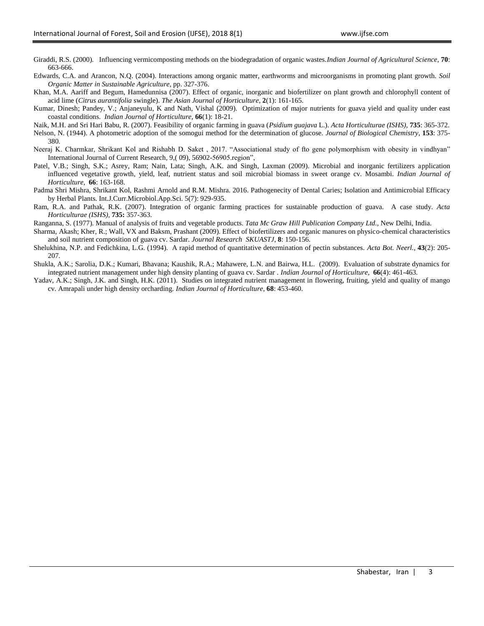- Giraddi, R.S. (2000). Influencing vermicomposting methods on the biodegradation of organic wastes.*Indian Journal of Agricultural Science*, **70**: 663-666.
- Edwards, C.A. and Arancon, N.Q. (2004). Interactions among organic matter, earthworms and microorganisms in promoting plant growth. *Soil Organic Matter in Sustainable Agriculture*, pp. 327-376.
- Khan, M.A. Aariff and Begum, Hamedunnisa (2007). Effect of organic, inorganic and biofertilizer on plant growth and chlorophyll content of acid lime (*Citrus aurantifolia* swingle). *The Asian Journal of Horticulture*, **2**(1): 161-165.
- Kumar, Dinesh; Pandey, V.; Anjaneyulu, K and Nath, Vishal (2009). Optimization of major nutrients for guava yield and quality under east coastal conditions. *Indian Journal of Horticulture,* **66**(1): 18-21.
- Naik, M.H. and Sri Hari Babu, R. (2007). Feasibility of organic farming in guava (*Psidium guajava* L.). *Acta Horticulturae (ISHS)*, **735**: 365-372.
- Nelson, N. (1944). A photometric adoption of the somogui method for the determination of glucose. *Journal of Biological Chemistry*, **153**: 375- 380.
- Neeraj K. Charmkar, Shrikant Kol and Rishabh D. Saket , 2017. "Associational study of fto gene polymorphism with obesity in vindhyan" International Journal of Current Research, 9,( 09), 56902-56905.region",
- Patel, V.B.; Singh, S.K.; Asrey, Ram; Nain, Lata; Singh, A.K. and Singh, Laxman (2009). Microbial and inorganic fertilizers application influenced vegetative growth, yield, leaf, nutrient status and soil microbial biomass in sweet orange cv. Mosambi. *Indian Journal of Horticulture,* **66**: 163-168.
- Padma Shri Mishra, Shrikant Kol, Rashmi Arnold and R.M. Mishra. 2016. Pathogenecity of Dental Caries; Isolation and Antimicrobial Efficacy by Herbal Plants. Int.J.Curr.Microbiol.App.Sci. 5(7): 929-935.
- Ram, R.A. and Pathak, R.K. (2007). Integration of organic farming practices for sustainable production of guava. A case study. *Acta Horticulturae (ISHS),* **735:** 357-363.
- Ranganna, S. (1977). Manual of analysis of fruits and vegetable products. *Tata Mc Graw Hill Publication Company Ltd.,* New Delhi, India.
- Sharma, Akash; Kher, R.; Wall, VX and Baksm, Prashant (2009). Effect of biofertilizers and organic manures on physico-chemical characteristics and soil nutrient composition of guava cv. Sardar. *Journal Research SKUASTJ*, **8**: 150-156.
- Shelukhina, N.P. and Fedichkina, L.G. (1994). A rapid method of quantitative determination of pectin substances. *Acta Bot. Neerl.*, **43**(2): 205- 207.
- Shukla, A.K.; Sarolia, D.K.; Kumari, Bhavana; Kaushik, R.A.; Mahawere, L.N. and Bairwa, H.L. (2009). Evaluation of substrate dynamics for integrated nutrient management under high density planting of guava cv. Sardar . *Indian Journal of Horticulture,* **66**(4): 461-463.
- Yadav, A.K.; Singh, J.K. and Singh, H.K. (2011). Studies on integrated nutrient management in flowering, fruiting, yield and quality of mango cv. Amrapali under high density orcharding. *Indian Journal of Horticulture*, **68**: 453-460.